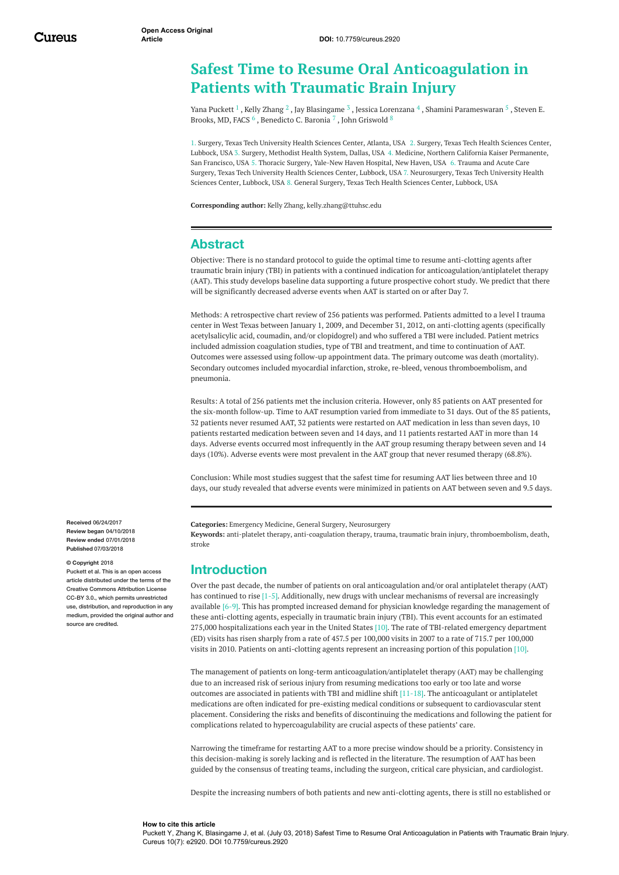# **Safest Time to Resume Oral Anticoagulation in Patients with Traumatic Brain Injury**

Yana [Puckett](https://www.cureus.com/users/43276-yana-puckett)  $^1$  , Kelly [Zhang](https://www.cureus.com/users/43274-kelly-zhang)  $^2$  , Jay [Blasingame](https://www.cureus.com/users/43277-jay-blasingame)  $^3$  , Jessica [Lorenzana](https://www.cureus.com/users/43278-jessica-lorenzana)  $^4$  , Shamini [Parameswaran](https://www.cureus.com/users/43279-shamini-parameswaran)  $^5$  , Steven E. Brooks, MD, FACS  $^6$  , [Benedicto](https://www.cureus.com/users/31313-benedicto-c-baronia) C. Baronia  $^7$  , John [Griswold](https://www.cureus.com/users/43280-john-griswold)  $^8$ 

1. Surgery, Texas Tech University Health Sciences Center, Atlanta, USA 2. Surgery, Texas Tech Health Sciences Center, Lubbock, USA 3. Surgery, Methodist Health System, Dallas, USA 4. Medicine, Northern California Kaiser Permanente, San Francisco, USA 5. Thoracic Surgery, Yale-New Haven Hospital, New Haven, USA 6. Trauma and Acute Care Surgery, Texas Tech University Health Sciences Center, Lubbock, USA 7. Neurosurgery, Texas Tech University Health Sciences Center, Lubbock, USA 8. General Surgery, Texas Tech Health Sciences Center, Lubbock, USA

**Corresponding author:** Kelly Zhang, kelly.zhang@ttuhsc.edu

## **Abstract**

Objective: There is no standard protocol to guide the optimal time to resume anti-clotting agents after traumatic brain injury (TBI) in patients with a continued indication for anticoagulation/antiplatelet therapy (AAT). This study develops baseline data supporting a future prospective cohort study. We predict that there will be significantly decreased adverse events when AAT is started on or after Day 7.

Methods: A retrospective chart review of 256 patients was performed. Patients admitted to a level I trauma center in West Texas between January 1, 2009, and December 31, 2012, on anti-clotting agents (specifically acetylsalicylic acid, coumadin, and/or clopidogrel) and who suffered a TBI were included. Patient metrics included admission coagulation studies, type of TBI and treatment, and time to continuation of AAT. Outcomes were assessed using follow-up appointment data. The primary outcome was death (mortality). Secondary outcomes included myocardial infarction, stroke, re-bleed, venous thromboembolism, and pneumonia.

Results: A total of 256 patients met the inclusion criteria. However, only 85 patients on AAT presented for the six-month follow-up. Time to AAT resumption varied from immediate to 31 days. Out of the 85 patients, 32 patients never resumed AAT, 32 patients were restarted on AAT medication in less than seven days, 10 patients restarted medication between seven and 14 days, and 11 patients restarted AAT in more than 14 days. Adverse events occurred most infrequently in the AAT group resuming therapy between seven and 14 days (10%). Adverse events were most prevalent in the AAT group that never resumed therapy (68.8%).

Conclusion: While most studies suggest that the safest time for resuming AAT lies between three and 10 days, our study revealed that adverse events were minimized in patients on AAT between seven and 9.5 days.

**Categories:** Emergency Medicine, General Surgery, Neurosurgery

**Keywords:** anti-platelet therapy, anti-coagulation therapy, trauma, traumatic brain injury, thromboembolism, death, stroke

### **Introduction**

Over the past decade, the number of patients on oral anticoagulation and/or oral antiplatelet therapy (AAT) has continued to rise [1-5]. Additionally, new drugs with unclear mechanisms of reversal are increasingly available [6-9]. This has prompted increased demand for physician knowledge regarding the management of these anti-clotting agents, especially in traumatic brain injury (TBI). This event accounts for an estimated 275,000 hospitalizations each year in the United States [10]. The rate of TBI-related emergency department (ED) visits has risen sharply from a rate of 457.5 per 100,000 visits in 2007 to a rate of 715.7 per 100,000 visits in 2010. Patients on anti-clotting agents represent an increasing portion of this population [10].

The management of patients on long-term anticoagulation/antiplatelet therapy (AAT) may be challenging due to an increased risk of serious injury from resuming medications too early or too late and worse outcomes are associated in patients with TBI and midline shift [11-18]. The anticoagulant or antiplatelet medications are often indicated for pre-existing medical conditions or subsequent to cardiovascular stent placement. Considering the risks and benefits of discontinuing the medications and following the patient for complications related to hypercoagulability are crucial aspects of these patients' care.

Narrowing the timeframe for restarting AAT to a more precise window should be a priority. Consistency in this decision-making is sorely lacking and is reflected in the literature. The resumption of AAT has been guided by the consensus of treating teams, including the surgeon, critical care physician, and cardiologist.

Despite the increasing numbers of both patients and new anti-clotting agents, there is still no established or

#### **Received** 06/24/2017 **Review began** 04/10/2018 **Review ended** 07/01/2018 **Published** 07/03/2018

#### **© Copyright** 2018

Puckett et al. This is an open access article distributed under the terms of the Creative Commons Attribution License CC-BY 3.0., which permits unrestricted use, distribution, and reproduction in any medium, provided the original author and source are credited.

#### **How to cite this article**

Puckett Y, Zhang K, Blasingame J, et al. (July 03, 2018) Safest Time to Resume Oral Anticoagulation in Patients with Traumatic Brain Injury. Cureus 10(7): e2920. DOI 10.7759/cureus.2920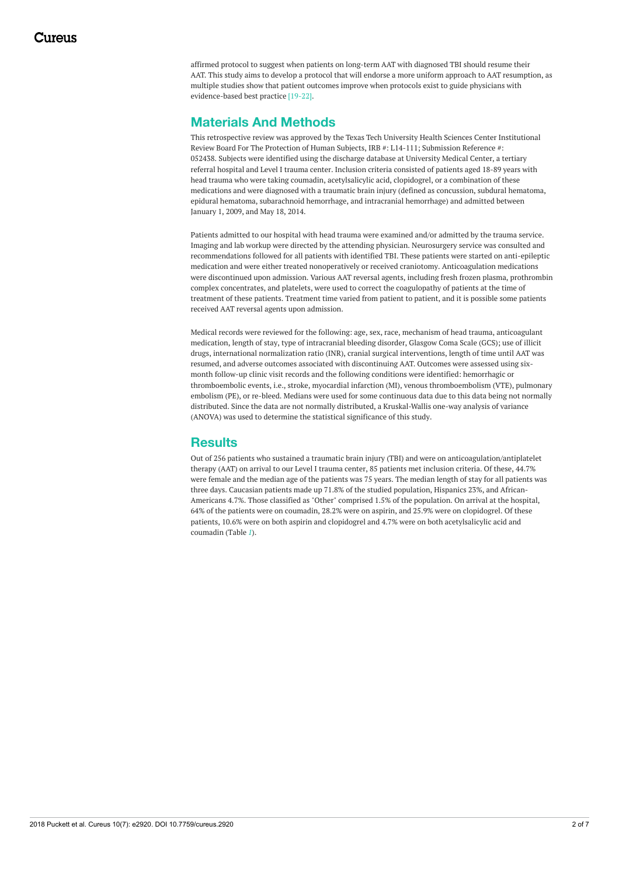affirmed protocol to suggest when patients on long-term AAT with diagnosed TBI should resume their AAT. This study aims to develop a protocol that will endorse a more uniform approach to AAT resumption, as multiple studies show that patient outcomes improve when protocols exist to guide physicians with evidence-based best practice [19-22].

## **Materials And Methods**

This retrospective review was approved by the Texas Tech University Health Sciences Center Institutional Review Board For The Protection of Human Subjects, IRB #: L14-111; Submission Reference #: 052438. Subjects were identified using the discharge database at University Medical Center, a tertiary referral hospital and Level I trauma center. Inclusion criteria consisted of patients aged 18-89 years with head trauma who were taking coumadin, acetylsalicylic acid, clopidogrel, or a combination of these medications and were diagnosed with a traumatic brain injury (defined as concussion, subdural hematoma, epidural hematoma, subarachnoid hemorrhage, and intracranial hemorrhage) and admitted between January 1, 2009, and May 18, 2014.

Patients admitted to our hospital with head trauma were examined and/or admitted by the trauma service. Imaging and lab workup were directed by the attending physician. Neurosurgery service was consulted and recommendations followed for all patients with identified TBI. These patients were started on anti-epileptic medication and were either treated nonoperatively or received craniotomy. Anticoagulation medications were discontinued upon admission. Various AAT reversal agents, including fresh frozen plasma, prothrombin complex concentrates, and platelets, were used to correct the coagulopathy of patients at the time of treatment of these patients. Treatment time varied from patient to patient, and it is possible some patients received AAT reversal agents upon admission.

Medical records were reviewed for the following: age, sex, race, mechanism of head trauma, anticoagulant medication, length of stay, type of intracranial bleeding disorder, Glasgow Coma Scale (GCS); use of illicit drugs, international normalization ratio (INR), cranial surgical interventions, length of time until AAT was resumed, and adverse outcomes associated with discontinuing AAT. Outcomes were assessed using sixmonth follow-up clinic visit records and the following conditions were identified: hemorrhagic or thromboembolic events, i.e., stroke, myocardial infarction (MI), venous thromboembolism (VTE), pulmonary embolism (PE), or re-bleed. Medians were used for some continuous data due to this data being not normally distributed. Since the data are not normally distributed, a Kruskal-Wallis one-way analysis of variance (ANOVA) was used to determine the statistical significance of this study.

## **Results**

Out of 256 patients who sustained a traumatic brain injury (TBI) and were on anticoagulation/antiplatelet therapy (AAT) on arrival to our Level I trauma center, 85 patients met inclusion criteria. Of these, 44.7% were female and the median age of the patients was 75 years. The median length of stay for all patients was three days. Caucasian patients made up 71.8% of the studied population, Hispanics 23%, and African-Americans 4.7%. Those classified as "Other" comprised 1.5% of the population. On arrival at the hospital, 64% of the patients were on coumadin, 28.2% were on aspirin, and 25.9% were on clopidogrel. Of these patients, 10.6% were on both aspirin and clopidogrel and 4.7% were on both acetylsalicylic acid and coumadin (Table *[1](#page-2-0)*).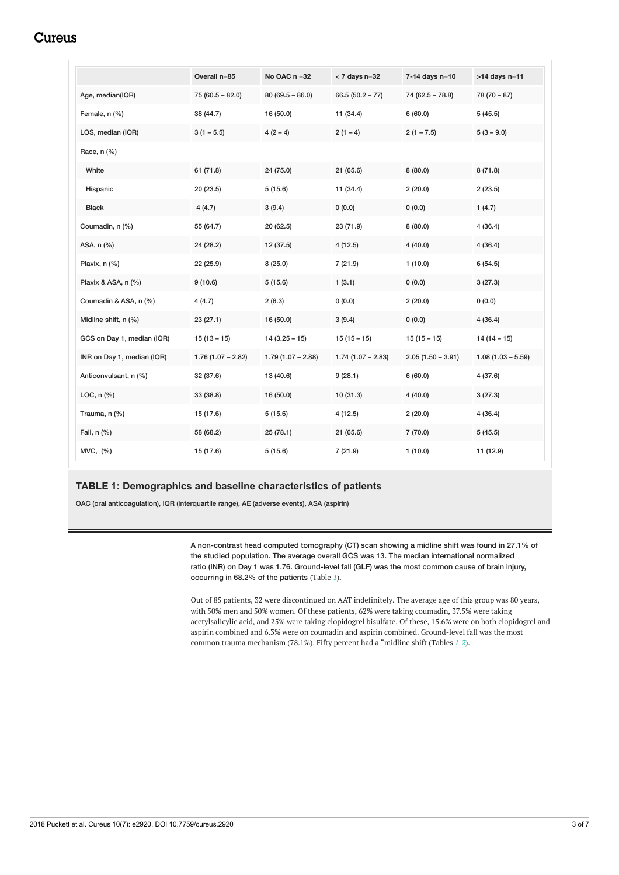## **Cureus**

<span id="page-2-0"></span>

|                            | Overall n=85        | No OAC $n = 32$     | $<$ 7 days n=32     | 7-14 days n=10      | $>14$ days $n=11$   |
|----------------------------|---------------------|---------------------|---------------------|---------------------|---------------------|
| Age, median(IQR)           | $75(60.5 - 82.0)$   | $80(69.5 - 86.0)$   | $66.5(50.2 - 77)$   | $74(62.5 - 78.8)$   | $78(70-87)$         |
| Female, n (%)              | 38 (44.7)           | 16 (50.0)           | 11 (34.4)           | 6(60.0)             | 5(45.5)             |
| LOS, median (IQR)          | $3(1 - 5.5)$        | $4(2-4)$            | $2(1 - 4)$          | $2(1 - 7.5)$        | $5(3 - 9.0)$        |
| Race, n (%)                |                     |                     |                     |                     |                     |
| White                      | 61 (71.8)           | 24 (75.0)           | 21(65.6)            | 8(80.0)             | 8(71.8)             |
| Hispanic                   | 20 (23.5)           | 5(15.6)             | 11 (34.4)           | 2(20.0)             | 2(23.5)             |
| <b>Black</b>               | 4(4.7)              | 3(9.4)              | (0.0)               | 0(0.0)              | 1(4.7)              |
| Coumadin, n (%)            | 55 (64.7)           | 20 (62.5)           | 23 (71.9)           | 8(80.0)             | 4(36.4)             |
| ASA, n (%)                 | 24 (28.2)           | 12 (37.5)           | 4(12.5)             | 4(40.0)             | 4(36.4)             |
| Plavix, n (%)              | 22 (25.9)           | 8(25.0)             | 7(21.9)             | 1(10.0)             | 6(54.5)             |
| Plavix & ASA, n (%)        | 9(10.6)             | 5(15.6)             | 1(3.1)              | 0(0.0)              | 3(27.3)             |
| Coumadin & ASA, n (%)      | 4(4.7)              | 2(6.3)              | (0.0)               | 2(20.0)             | 0(0.0)              |
| Midline shift, n (%)       | 23(27.1)            | 16 (50.0)           | 3(9.4)              | 0(0.0)              | 4(36.4)             |
| GCS on Day 1, median (IQR) | $15(13 - 15)$       | $14(3.25 - 15)$     | $15(15 - 15)$       | $15(15 - 15)$       | $14(14-15)$         |
| INR on Day 1, median (IQR) | $1.76(1.07 - 2.82)$ | $1.79(1.07 - 2.88)$ | $1.74(1.07 - 2.83)$ | $2.05(1.50 - 3.91)$ | $1.08(1.03 - 5.59)$ |
| Anticonvulsant, n (%)      | 32 (37.6)           | 13 (40.6)           | 9(28.1)             | 6(60.0)             | 4(37.6)             |
| LOC, $n$ $(\%)$            | 33 (38.8)           | 16 (50.0)           | 10(31.3)            | 4(40.0)             | 3(27.3)             |
| Trauma, n (%)              | 15 (17.6)           | 5(15.6)             | 4(12.5)             | 2(20.0)             | 4(36.4)             |
| Fall, n (%)                | 58 (68.2)           | 25(78.1)            | 21 (65.6)           | 7(70.0)             | 5(45.5)             |
| MVC, (%)                   | 15 (17.6)           | 5(15.6)             | 7(21.9)             | 1(10.0)             | 11 (12.9)           |

### **TABLE 1: Demographics and baseline characteristics of patients**

OAC (oral anticoagulation), IQR (interquartile range), AE (adverse events), ASA (aspirin)

A non-contrast head computed tomography (CT) scan showing a midline shift was found in 27.1% of the studied population. The average overall GCS was 13. The median international normalized ratio (INR) on Day 1 was 1.76. Ground-level fall (GLF) was the most common cause of brain injury, occurring in 68.2% of the patients (Table *[1](#page-2-0)*).

Out of 85 patients, 32 were discontinued on AAT indefinitely. The average age of this group was 80 years, with 50% men and 50% women. Of these patients, 62% were taking coumadin, 37.5% were taking acetylsalicylic acid, and 25% were taking clopidogrel bisulfate. Of these, 15.6% were on both clopidogrel and aspirin combined and 6.3% were on coumadin and aspirin combined. Ground-level fall was the most common trauma mechanism (78.1%). Fifty percent had a "midline shift (Tables *[1](#page-2-0)*-*[2](#page-3-0)*).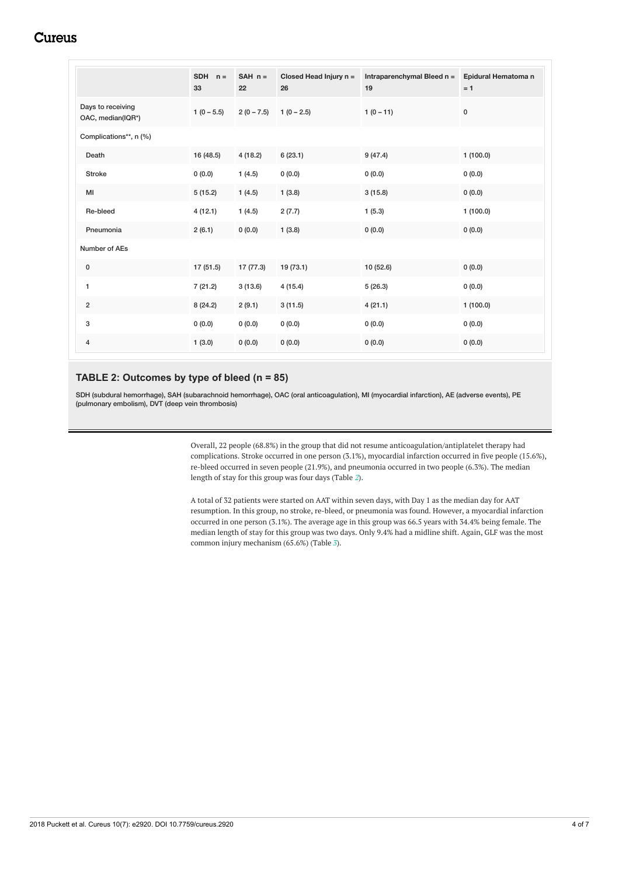## **Cureus**

<span id="page-3-0"></span>

|                                        | $SDH \t n =$<br>33 | $SAH \, n =$<br>22 | Closed Head Injury n =<br>26 | Intraparenchymal Bleed n =<br>19 | Epidural Hematoma n<br>$= 1$ |
|----------------------------------------|--------------------|--------------------|------------------------------|----------------------------------|------------------------------|
| Days to receiving<br>OAC, median(IQR*) | $1(0 - 5.5)$       | $2(0 - 7.5)$       | $1(0 - 2.5)$                 | $1(0-11)$                        | $\pmb{0}$                    |
| Complications**, n (%)                 |                    |                    |                              |                                  |                              |
| Death                                  | 16 (48.5)          | 4(18.2)            | 6(23.1)                      | 9(47.4)                          | 1(100.0)                     |
| <b>Stroke</b>                          | 0(0.0)             | 1(4.5)             | 0(0.0)                       | 0(0.0)                           | 0(0.0)                       |
| MI                                     | 5(15.2)            | 1(4.5)             | 1(3.8)                       | 3(15.8)                          | 0(0.0)                       |
| Re-bleed                               | 4(12.1)            | 1(4.5)             | 2(7.7)                       | 1(5.3)                           | 1(100.0)                     |
| Pneumonia                              | 2(6.1)             | 0(0.0)             | 1(3.8)                       | 0(0.0)                           | 0(0.0)                       |
| Number of AEs                          |                    |                    |                              |                                  |                              |
| $\mathbf 0$                            | 17(51.5)           | 17 (77.3)          | 19 (73.1)                    | 10(52.6)                         | 0(0.0)                       |
| $\mathbf{1}$                           | 7(21.2)            | 3(13.6)            | 4(15.4)                      | 5(26.3)                          | 0(0.0)                       |
| $\overline{2}$                         | 8(24.2)            | 2(9.1)             | 3(11.5)                      | 4(21.1)                          | 1(100.0)                     |
| 3                                      | 0(0.0)             | 0(0.0)             | 0(0.0)                       | 0(0.0)                           | 0(0.0)                       |
| 4                                      | 1(3.0)             | 0(0.0)             | 0(0.0)                       | 0(0.0)                           | 0(0.0)                       |

### **TABLE 2: Outcomes by type of bleed (n = 85)**

SDH (subdural hemorrhage), SAH (subarachnoid hemorrhage), OAC (oral anticoagulation), MI (myocardial infarction), AE (adverse events), PE (pulmonary embolism), DVT (deep vein thrombosis)

> Overall, 22 people (68.8%) in the group that did not resume anticoagulation/antiplatelet therapy had complications. Stroke occurred in one person (3.1%), myocardial infarction occurred in five people (15.6%), re-bleed occurred in seven people (21.9%), and pneumonia occurred in two people (6.3%). The median length of stay for this group was four days (Table *[2](#page-3-0)*).

> A total of 32 patients were started on AAT within seven days, with Day 1 as the median day for AAT resumption. In this group, no stroke, re-bleed, or pneumonia was found. However, a myocardial infarction occurred in one person (3.1%). The average age in this group was 66.5 years with 34.4% being female. The median length of stay for this group was two days. Only 9.4% had a midline shift. Again, GLF was the most common injury mechanism (65.6%) (Table *[3](#page-4-0)*).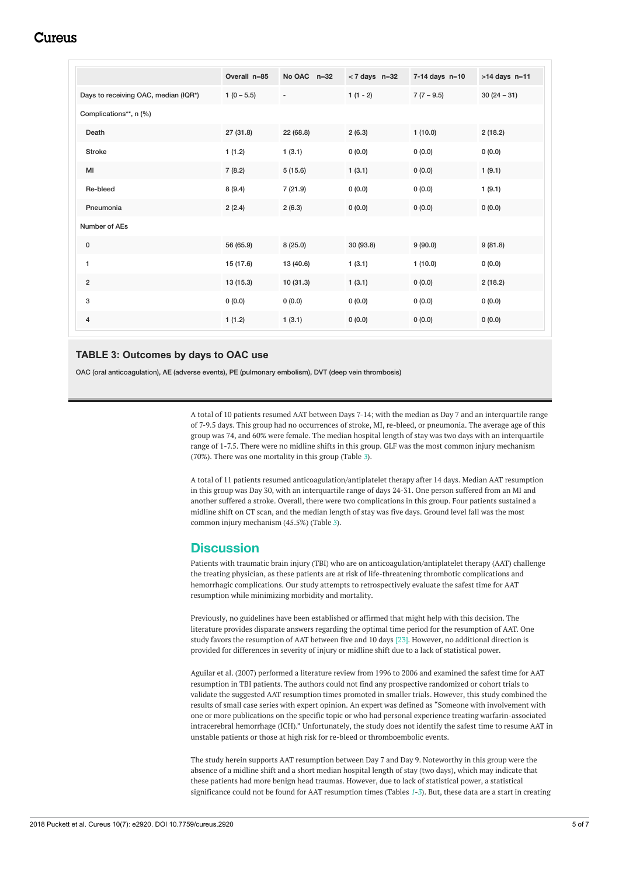## Cureus

<span id="page-4-0"></span>

|                                      | Overall n=85 | No OAC $n=32$            | $< 7$ days $n=32$ | $7-14$ days $n=10$ | $>14$ days $n=11$ |
|--------------------------------------|--------------|--------------------------|-------------------|--------------------|-------------------|
| Days to receiving OAC, median (IQR*) | $1(0 - 5.5)$ | $\overline{\phantom{a}}$ | $1(1 - 2)$        | $7(7-9.5)$         | $30(24-31)$       |
| Complications**, n (%)               |              |                          |                   |                    |                   |
| Death                                | 27 (31.8)    | 22 (68.8)                | 2(6.3)            | 1(10.0)            | 2(18.2)           |
| <b>Stroke</b>                        | 1(1.2)       | 1(3.1)                   | 0(0.0)            | 0(0.0)             | 0(0.0)            |
| MI                                   | 7(8.2)       | 5(15.6)                  | 1(3.1)            | 0(0.0)             | 1(9.1)            |
| Re-bleed                             | 8(9.4)       | 7(21.9)                  | 0(0.0)            | 0(0.0)             | 1(9.1)            |
| Pneumonia                            | 2(2.4)       | 2(6.3)                   | 0(0.0)            | 0(0.0)             | 0(0.0)            |
| Number of AEs                        |              |                          |                   |                    |                   |
| 0                                    | 56 (65.9)    | 8(25.0)                  | 30 (93.8)         | 9(90.0)            | 9(81.8)           |
| 1                                    | 15 (17.6)    | 13 (40.6)                | 1(3.1)            | 1(10.0)            | 0(0.0)            |
| $\boldsymbol{2}$                     | 13 (15.3)    | 10(31.3)                 | 1(3.1)            | 0(0.0)             | 2(18.2)           |
| 3                                    | 0(0.0)       | 0(0.0)                   | 0(0.0)            | 0(0.0)             | 0(0.0)            |
| 4                                    | 1(1.2)       | 1(3.1)                   | 0(0.0)            | 0(0.0)             | 0(0.0)            |

#### **TABLE 3: Outcomes by days to OAC use**

OAC (oral anticoagulation), AE (adverse events), PE (pulmonary embolism), DVT (deep vein thrombosis)

A total of 10 patients resumed AAT between Days 7-14; with the median as Day 7 and an interquartile range of 7-9.5 days. This group had no occurrences of stroke, MI, re-bleed, or pneumonia. The average age of this group was 74, and 60% were female. The median hospital length of stay was two days with an interquartile range of 1-7.5. There were no midline shifts in this group. GLF was the most common injury mechanism (70%). There was one mortality in this group (Table *[3](#page-4-0)*).

A total of 11 patients resumed anticoagulation/antiplatelet therapy after 14 days. Median AAT resumption in this group was Day 30, with an interquartile range of days 24-31. One person suffered from an MI and another suffered a stroke. Overall, there were two complications in this group. Four patients sustained a midline shift on CT scan, and the median length of stay was five days. Ground level fall was the most common injury mechanism (45.5%) (Table *[3](#page-4-0)*).

### **Discussion**

Patients with traumatic brain injury (TBI) who are on anticoagulation/antiplatelet therapy (AAT) challenge the treating physician, as these patients are at risk of life-threatening thrombotic complications and hemorrhagic complications. Our study attempts to retrospectively evaluate the safest time for AAT resumption while minimizing morbidity and mortality.

Previously, no guidelines have been established or affirmed that might help with this decision. The literature provides disparate answers regarding the optimal time period for the resumption of AAT. One study favors the resumption of AAT between five and 10 days [23]. However, no additional direction is provided for differences in severity of injury or midline shift due to a lack of statistical power.

Aguilar et al. (2007) performed a literature review from 1996 to 2006 and examined the safest time for AAT resumption in TBI patients. The authors could not find any prospective randomized or cohort trials to validate the suggested AAT resumption times promoted in smaller trials. However, this study combined the results of small case series with expert opinion. An expert was defined as "Someone with involvement with one or more publications on the specific topic or who had personal experience treating warfarin-associated intracerebral hemorrhage (ICH)." Unfortunately, the study does not identify the safest time to resume AAT in unstable patients or those at high risk for re-bleed or thromboembolic events.

The study herein supports AAT resumption between Day 7 and Day 9. Noteworthy in this group were the absence of a midline shift and a short median hospital length of stay (two days), which may indicate that these patients had more benign head traumas. However, due to lack of statistical power, a statistical significance could not be found for AAT resumption times (Tables *[1](#page-2-0)*-*[3](#page-4-0)*). But, these data are a start in creating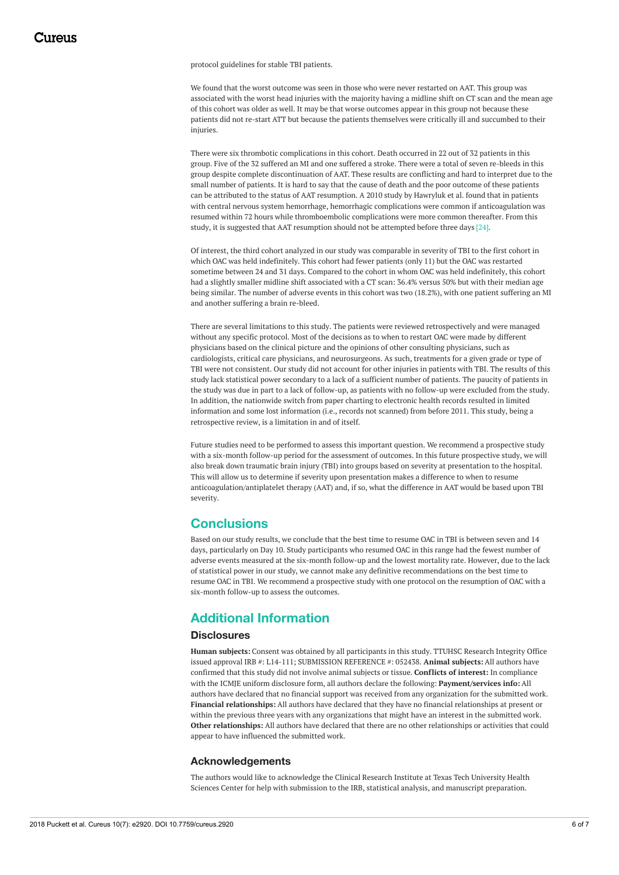protocol guidelines for stable TBI patients.

We found that the worst outcome was seen in those who were never restarted on AAT. This group was associated with the worst head injuries with the majority having a midline shift on CT scan and the mean age of this cohort was older as well. It may be that worse outcomes appear in this group not because these patients did not re-start ATT but because the patients themselves were critically ill and succumbed to their injuries.

There were six thrombotic complications in this cohort. Death occurred in 22 out of 32 patients in this group. Five of the 32 suffered an MI and one suffered a stroke. There were a total of seven re-bleeds in this group despite complete discontinuation of AAT. These results are conflicting and hard to interpret due to the small number of patients. It is hard to say that the cause of death and the poor outcome of these patients can be attributed to the status of AAT resumption. A 2010 study by Hawryluk et al. found that in patients with central nervous system hemorrhage, hemorrhagic complications were common if anticoagulation was resumed within 72 hours while thromboembolic complications were more common thereafter. From this study, it is suggested that AAT resumption should not be attempted before three days [24].

Of interest, the third cohort analyzed in our study was comparable in severity of TBI to the first cohort in which OAC was held indefinitely. This cohort had fewer patients (only 11) but the OAC was restarted sometime between 24 and 31 days. Compared to the cohort in whom OAC was held indefinitely, this cohort had a slightly smaller midline shift associated with a CT scan: 36.4% versus 50% but with their median age being similar. The number of adverse events in this cohort was two (18.2%), with one patient suffering an MI and another suffering a brain re-bleed.

There are several limitations to this study. The patients were reviewed retrospectively and were managed without any specific protocol. Most of the decisions as to when to restart OAC were made by different physicians based on the clinical picture and the opinions of other consulting physicians, such as cardiologists, critical care physicians, and neurosurgeons. As such, treatments for a given grade or type of TBI were not consistent. Our study did not account for other injuries in patients with TBI. The results of this study lack statistical power secondary to a lack of a sufficient number of patients. The paucity of patients in the study was due in part to a lack of follow-up, as patients with no follow-up were excluded from the study. In addition, the nationwide switch from paper charting to electronic health records resulted in limited information and some lost information (i.e., records not scanned) from before 2011. This study, being a retrospective review, is a limitation in and of itself.

Future studies need to be performed to assess this important question. We recommend a prospective study with a six-month follow-up period for the assessment of outcomes. In this future prospective study, we will also break down traumatic brain injury (TBI) into groups based on severity at presentation to the hospital. This will allow us to determine if severity upon presentation makes a difference to when to resume anticoagulation/antiplatelet therapy (AAT) and, if so, what the difference in AAT would be based upon TBI severity.

### **Conclusions**

Based on our study results, we conclude that the best time to resume OAC in TBI is between seven and 14 days, particularly on Day 10. Study participants who resumed OAC in this range had the fewest number of adverse events measured at the six-month follow-up and the lowest mortality rate. However, due to the lack of statistical power in our study, we cannot make any definitive recommendations on the best time to resume OAC in TBI. We recommend a prospective study with one protocol on the resumption of OAC with a six-month follow-up to assess the outcomes.

## **Additional Information**

#### **Disclosures**

**Human subjects:** Consent was obtained by all participants in this study. TTUHSC Research Integrity Office issued approval IRB #: L14-111; SUBMISSION REFERENCE #: 052438. **Animal subjects:** All authors have confirmed that this study did not involve animal subjects or tissue. **Conflicts of interest:** In compliance with the ICMJE uniform disclosure form, all authors declare the following: **Payment/services info:** All authors have declared that no financial support was received from any organization for the submitted work. **Financial relationships:** All authors have declared that they have no financial relationships at present or within the previous three years with any organizations that might have an interest in the submitted work. **Other relationships:** All authors have declared that there are no other relationships or activities that could appear to have influenced the submitted work.

#### **Acknowledgements**

The authors would like to acknowledge the Clinical Research Institute at Texas Tech University Health Sciences Center for help with submission to the IRB, statistical analysis, and manuscript preparation.